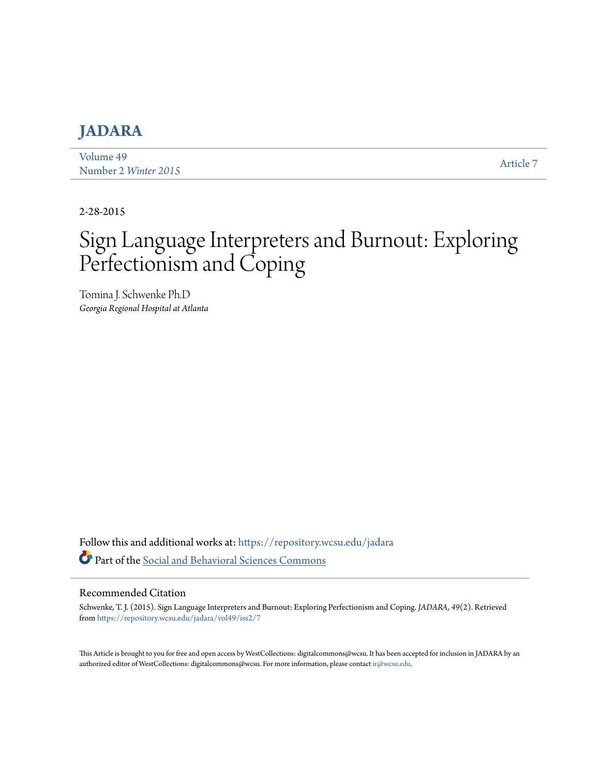# **[JADARA](https://repository.wcsu.edu/jadara?utm_source=repository.wcsu.edu%2Fjadara%2Fvol49%2Fiss2%2F7&utm_medium=PDF&utm_campaign=PDFCoverPages)**

[Volume 49](https://repository.wcsu.edu/jadara/vol49?utm_source=repository.wcsu.edu%2Fjadara%2Fvol49%2Fiss2%2F7&utm_medium=PDF&utm_campaign=PDFCoverPages) Number 2 *[Winter 2015](https://repository.wcsu.edu/jadara/vol49/iss2?utm_source=repository.wcsu.edu%2Fjadara%2Fvol49%2Fiss2%2F7&utm_medium=PDF&utm_campaign=PDFCoverPages)* [Article 7](https://repository.wcsu.edu/jadara/vol49/iss2/7?utm_source=repository.wcsu.edu%2Fjadara%2Fvol49%2Fiss2%2F7&utm_medium=PDF&utm_campaign=PDFCoverPages)

2-28-2015

# Sign Language Interpreters and Burnout: Exploring Perfectionism and Coping

Tomina J. Schwenke Ph.D *Georgia Regional Hospital at Atlanta*

Follow this and additional works at: [https://repository.wcsu.edu/jadara](https://repository.wcsu.edu/jadara?utm_source=repository.wcsu.edu%2Fjadara%2Fvol49%2Fiss2%2F7&utm_medium=PDF&utm_campaign=PDFCoverPages) Part of the [Social and Behavioral Sciences Commons](http://network.bepress.com/hgg/discipline/316?utm_source=repository.wcsu.edu%2Fjadara%2Fvol49%2Fiss2%2F7&utm_medium=PDF&utm_campaign=PDFCoverPages)

#### Recommended Citation

Schwenke, T. J. (2015). Sign Language Interpreters and Burnout: Exploring Perfectionism and Coping. *JADARA, 49*(2). Retrieved from [https://repository.wcsu.edu/jadara/vol49/iss2/7](https://repository.wcsu.edu/jadara/vol49/iss2/7?utm_source=repository.wcsu.edu%2Fjadara%2Fvol49%2Fiss2%2F7&utm_medium=PDF&utm_campaign=PDFCoverPages)

This Article is brought to you for free and open access by WestCollections: digitalcommons@wcsu. It has been accepted for inclusion in JADARA by an authorized editor of WestCollections: digitalcommons@wcsu. For more information, please contact [ir@wcsu.edu](mailto:ir@wcsu.edu).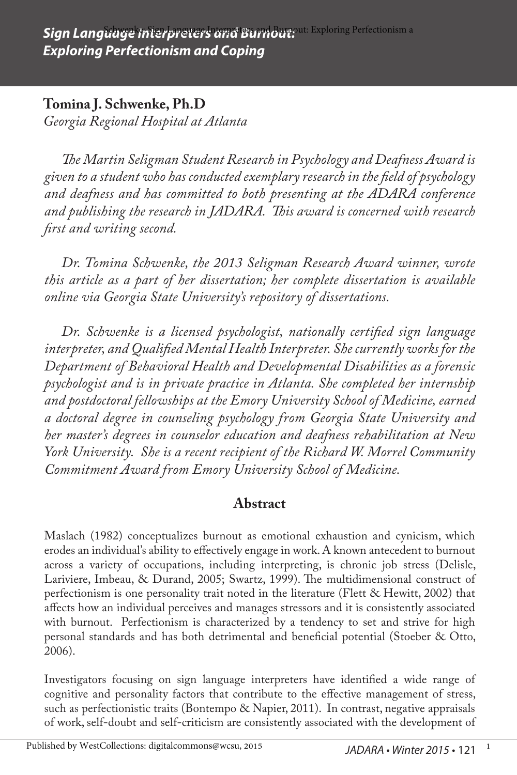### **Tomina J. Schwenke, Ph.D**

*Georgia Regional Hospital at Atlanta*

*The Martin Seligman Student Research in Psychology and Deafness Award is given to a student who has conducted exemplary research in the field of psychology and deafness and has committed to both presenting at the ADARA conference and publishing the research in JADARA. This award is concerned with research first and writing second.*

*Dr. Tomina Schwenke, the 2013 Seligman Research Award winner, wrote this article as a part of her dissertation; her complete dissertation is available online via Georgia State University's repository of dissertations.*

*Dr. Schwenke is a licensed psychologist, nationally certified sign language interpreter, and Qualified Mental Health Interpreter. She currently works for the Department of Behavioral Health and Developmental Disabilities as a forensic psychologist and is in private practice in Atlanta. She completed her internship and postdoctoral fellowships at the Emory University School of Medicine, earned a doctoral degree in counseling psychology from Georgia State University and her master's degrees in counselor education and deafness rehabilitation at New York University. She is a recent recipient of the Richard W. Morrel Community Commitment Award from Emory University School of Medicine.* 

### **Abstract**

Maslach (1982) conceptualizes burnout as emotional exhaustion and cynicism, which erodes an individual's ability to effectively engage in work. A known antecedent to burnout across a variety of occupations, including interpreting, is chronic job stress (Delisle, Lariviere, Imbeau, & Durand, 2005; Swartz, 1999). The multidimensional construct of perfectionism is one personality trait noted in the literature (Flett & Hewitt, 2002) that affects how an individual perceives and manages stressors and it is consistently associated with burnout. Perfectionism is characterized by a tendency to set and strive for high personal standards and has both detrimental and beneficial potential (Stoeber & Otto, 2006).

Investigators focusing on sign language interpreters have identified a wide range of cognitive and personality factors that contribute to the effective management of stress, such as perfectionistic traits (Bontempo & Napier, 2011). In contrast, negative appraisals of work, self-doubt and self-criticism are consistently associated with the development of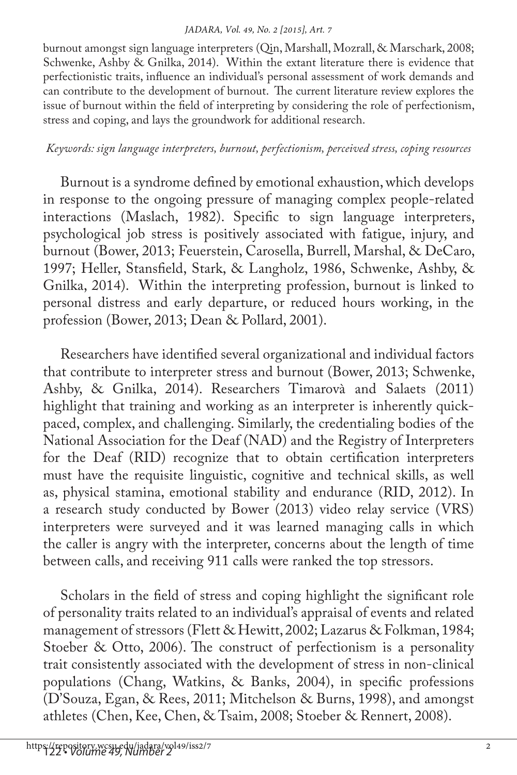burnout amongst sign language interpreters (Qin, Marshall, Mozrall, & Marschark, 2008; Schwenke, Ashby & Gnilka, 2014). Within the extant literature there is evidence that perfectionistic traits, influence an individual's personal assessment of work demands and can contribute to the development of burnout. The current literature review explores the issue of burnout within the field of interpreting by considering the role of perfectionism, stress and coping, and lays the groundwork for additional research.

### *Keywords: sign language interpreters, burnout, perfectionism, perceived stress, coping resources*

Burnout is a syndrome defined by emotional exhaustion, which develops in response to the ongoing pressure of managing complex people-related interactions (Maslach, 1982). Specific to sign language interpreters, psychological job stress is positively associated with fatigue, injury, and burnout (Bower, 2013; Feuerstein, Carosella, Burrell, Marshal, & DeCaro, 1997; Heller, Stansfield, Stark, & Langholz, 1986, Schwenke, Ashby, & Gnilka, 2014). Within the interpreting profession, burnout is linked to personal distress and early departure, or reduced hours working, in the profession (Bower, 2013; Dean & Pollard, 2001).

Researchers have identified several organizational and individual factors that contribute to interpreter stress and burnout (Bower, 2013; Schwenke, Ashby, & Gnilka, 2014). Researchers Timarovà and Salaets (2011) highlight that training and working as an interpreter is inherently quickpaced, complex, and challenging. Similarly, the credentialing bodies of the National Association for the Deaf (NAD) and the Registry of Interpreters for the Deaf (RID) recognize that to obtain certification interpreters must have the requisite linguistic, cognitive and technical skills, as well as, physical stamina, emotional stability and endurance (RID, 2012). In a research study conducted by Bower (2013) video relay service (VRS) interpreters were surveyed and it was learned managing calls in which the caller is angry with the interpreter, concerns about the length of time between calls, and receiving 911 calls were ranked the top stressors.

Scholars in the field of stress and coping highlight the significant role of personality traits related to an individual's appraisal of events and related management of stressors (Flett & Hewitt, 2002; Lazarus & Folkman, 1984; Stoeber & Otto, 2006). The construct of perfectionism is a personality trait consistently associated with the development of stress in non-clinical populations (Chang, Watkins, & Banks, 2004), in specific professions (D'Souza, Egan, & Rees, 2011; Mitchelson & Burns, 1998), and amongst athletes (Chen, Kee, Chen, & Tsaim, 2008; Stoeber & Rennert, 2008).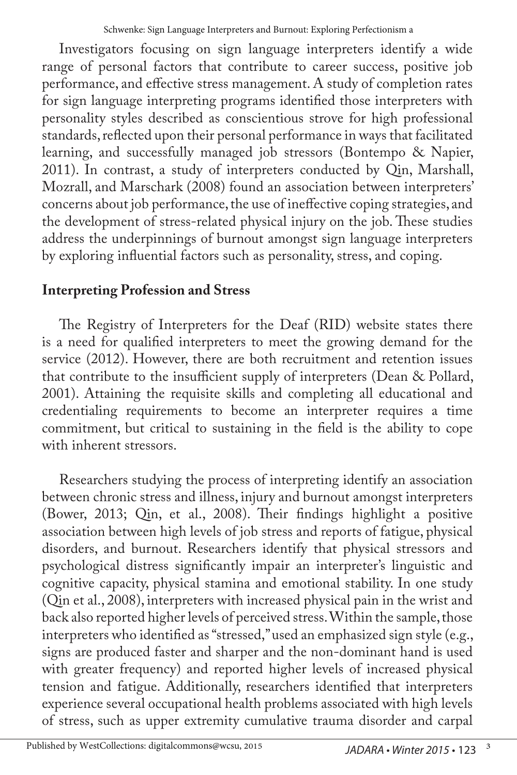Investigators focusing on sign language interpreters identify a wide range of personal factors that contribute to career success, positive job performance, and effective stress management. A study of completion rates for sign language interpreting programs identified those interpreters with personality styles described as conscientious strove for high professional standards, reflected upon their personal performance in ways that facilitated learning, and successfully managed job stressors (Bontempo & Napier, 2011). In contrast, a study of interpreters conducted by Qin, Marshall, Mozrall, and Marschark (2008) found an association between interpreters' concerns about job performance, the use of ineffective coping strategies, and the development of stress-related physical injury on the job. These studies address the underpinnings of burnout amongst sign language interpreters by exploring influential factors such as personality, stress, and coping.

# **Interpreting Profession and Stress**

The Registry of Interpreters for the Deaf (RID) website states there is a need for qualified interpreters to meet the growing demand for the service (2012). However, there are both recruitment and retention issues that contribute to the insufficient supply of interpreters (Dean & Pollard, 2001). Attaining the requisite skills and completing all educational and credentialing requirements to become an interpreter requires a time commitment, but critical to sustaining in the field is the ability to cope with inherent stressors.

Researchers studying the process of interpreting identify an association between chronic stress and illness, injury and burnout amongst interpreters (Bower, 2013; Qin, et al., 2008). Their findings highlight a positive association between high levels of job stress and reports of fatigue, physical disorders, and burnout. Researchers identify that physical stressors and psychological distress significantly impair an interpreter's linguistic and cognitive capacity, physical stamina and emotional stability. In one study (Qin et al., 2008), interpreters with increased physical pain in the wrist and back also reported higher levels of perceived stress. Within the sample, those interpreters who identified as "stressed," used an emphasized sign style (e.g., signs are produced faster and sharper and the non-dominant hand is used with greater frequency) and reported higher levels of increased physical tension and fatigue. Additionally, researchers identified that interpreters experience several occupational health problems associated with high levels of stress, such as upper extremity cumulative trauma disorder and carpal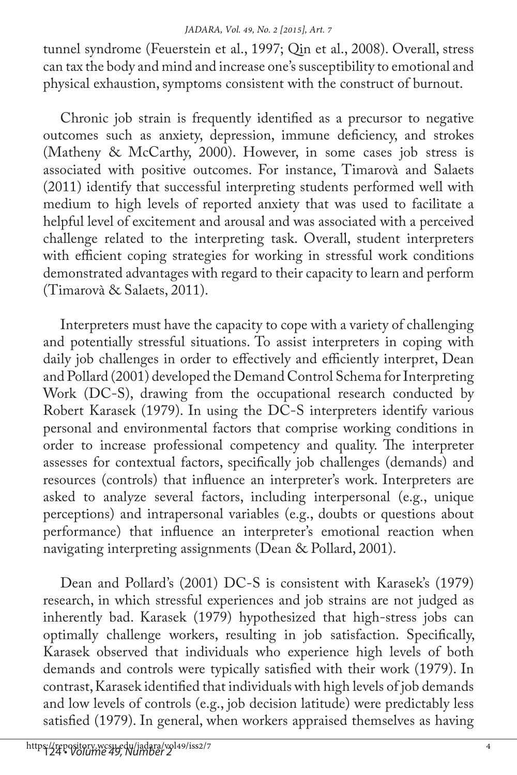tunnel syndrome (Feuerstein et al., 1997; Qin et al., 2008). Overall, stress can tax the body and mind and increase one's susceptibility to emotional and physical exhaustion, symptoms consistent with the construct of burnout.

Chronic job strain is frequently identified as a precursor to negative outcomes such as anxiety, depression, immune deficiency, and strokes (Matheny & McCarthy, 2000). However, in some cases job stress is associated with positive outcomes. For instance, Timarovà and Salaets (2011) identify that successful interpreting students performed well with medium to high levels of reported anxiety that was used to facilitate a helpful level of excitement and arousal and was associated with a perceived challenge related to the interpreting task. Overall, student interpreters with efficient coping strategies for working in stressful work conditions demonstrated advantages with regard to their capacity to learn and perform (Timarovà & Salaets, 2011).

Interpreters must have the capacity to cope with a variety of challenging and potentially stressful situations. To assist interpreters in coping with daily job challenges in order to effectively and efficiently interpret, Dean and Pollard (2001) developed the Demand Control Schema for Interpreting Work (DC-S), drawing from the occupational research conducted by Robert Karasek (1979). In using the DC-S interpreters identify various personal and environmental factors that comprise working conditions in order to increase professional competency and quality. The interpreter assesses for contextual factors, specifically job challenges (demands) and resources (controls) that influence an interpreter's work. Interpreters are asked to analyze several factors, including interpersonal (e.g., unique perceptions) and intrapersonal variables (e.g., doubts or questions about performance) that influence an interpreter's emotional reaction when navigating interpreting assignments (Dean & Pollard, 2001).

Dean and Pollard's (2001) DC-S is consistent with Karasek's (1979) research, in which stressful experiences and job strains are not judged as inherently bad. Karasek (1979) hypothesized that high-stress jobs can optimally challenge workers, resulting in job satisfaction. Specifically, Karasek observed that individuals who experience high levels of both demands and controls were typically satisfied with their work (1979). In contrast, Karasek identified that individuals with high levels of job demands and low levels of controls (e.g., job decision latitude) were predictably less satisfied (1979). In general, when workers appraised themselves as having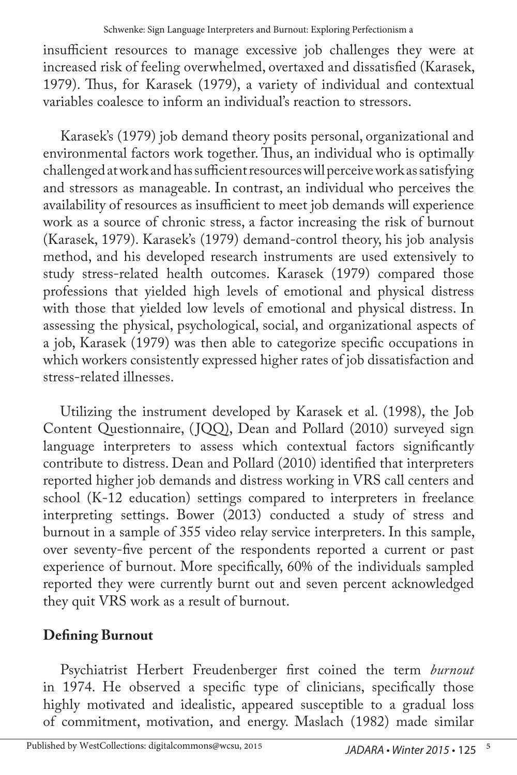insufficient resources to manage excessive job challenges they were at increased risk of feeling overwhelmed, overtaxed and dissatisfied (Karasek, 1979). Thus, for Karasek (1979), a variety of individual and contextual variables coalesce to inform an individual's reaction to stressors.

Karasek's (1979) job demand theory posits personal, organizational and environmental factors work together. Thus, an individual who is optimally challenged at work and has sufficient resources will perceive work as satisfying and stressors as manageable. In contrast, an individual who perceives the availability of resources as insufficient to meet job demands will experience work as a source of chronic stress, a factor increasing the risk of burnout (Karasek, 1979). Karasek's (1979) demand-control theory, his job analysis method, and his developed research instruments are used extensively to study stress-related health outcomes. Karasek (1979) compared those professions that yielded high levels of emotional and physical distress with those that yielded low levels of emotional and physical distress. In assessing the physical, psychological, social, and organizational aspects of a job, Karasek (1979) was then able to categorize specific occupations in which workers consistently expressed higher rates of job dissatisfaction and stress-related illnesses.

Utilizing the instrument developed by Karasek et al. (1998), the Job Content Questionnaire, (JQQ), Dean and Pollard (2010) surveyed sign language interpreters to assess which contextual factors significantly contribute to distress. Dean and Pollard (2010) identified that interpreters reported higher job demands and distress working in VRS call centers and school (K-12 education) settings compared to interpreters in freelance interpreting settings. Bower (2013) conducted a study of stress and burnout in a sample of 355 video relay service interpreters. In this sample, over seventy-five percent of the respondents reported a current or past experience of burnout. More specifically, 60% of the individuals sampled reported they were currently burnt out and seven percent acknowledged they quit VRS work as a result of burnout.

# **Defining Burnout**

Psychiatrist Herbert Freudenberger first coined the term *burnout*  in 1974. He observed a specific type of clinicians, specifically those highly motivated and idealistic, appeared susceptible to a gradual loss of commitment, motivation, and energy. Maslach (1982) made similar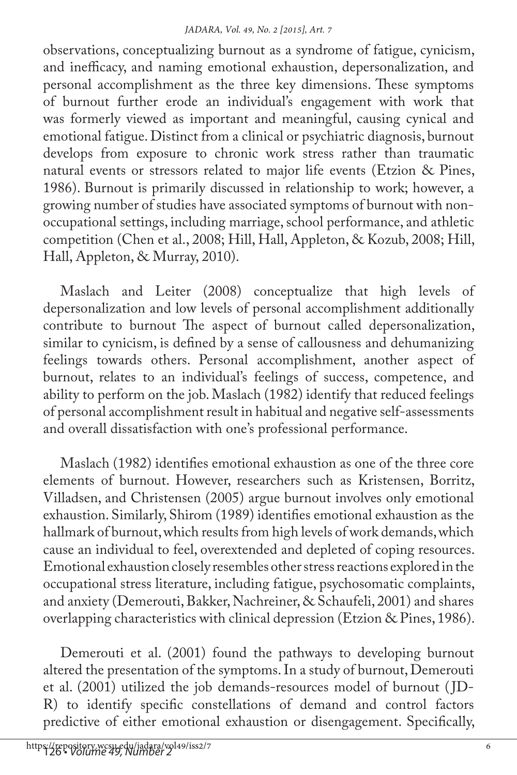observations, conceptualizing burnout as a syndrome of fatigue, cynicism, and inefficacy, and naming emotional exhaustion, depersonalization, and personal accomplishment as the three key dimensions. These symptoms of burnout further erode an individual's engagement with work that was formerly viewed as important and meaningful, causing cynical and emotional fatigue. Distinct from a clinical or psychiatric diagnosis, burnout develops from exposure to chronic work stress rather than traumatic natural events or stressors related to major life events (Etzion & Pines, 1986). Burnout is primarily discussed in relationship to work; however, a growing number of studies have associated symptoms of burnout with nonoccupational settings, including marriage, school performance, and athletic competition (Chen et al., 2008; Hill, Hall, Appleton, & Kozub, 2008; Hill, Hall, Appleton, & Murray, 2010).

Maslach and Leiter (2008) conceptualize that high levels of depersonalization and low levels of personal accomplishment additionally contribute to burnout The aspect of burnout called depersonalization, similar to cynicism, is defined by a sense of callousness and dehumanizing feelings towards others. Personal accomplishment, another aspect of burnout, relates to an individual's feelings of success, competence, and ability to perform on the job. Maslach (1982) identify that reduced feelings of personal accomplishment result in habitual and negative self-assessments and overall dissatisfaction with one's professional performance.

Maslach (1982) identifies emotional exhaustion as one of the three core elements of burnout. However, researchers such as Kristensen, Borritz, Villadsen, and Christensen (2005) argue burnout involves only emotional exhaustion. Similarly, Shirom (1989) identifies emotional exhaustion as the hallmark of burnout, which results from high levels of work demands, which cause an individual to feel, overextended and depleted of coping resources. Emotional exhaustion closely resembles other stress reactions explored in the occupational stress literature, including fatigue, psychosomatic complaints, and anxiety (Demerouti, Bakker, Nachreiner, & Schaufeli, 2001) and shares overlapping characteristics with clinical depression (Etzion & Pines, 1986).

Demerouti et al. (2001) found the pathways to developing burnout altered the presentation of the symptoms. In a study of burnout, Demerouti et al. (2001) utilized the job demands-resources model of burnout ( JD-R) to identify specific constellations of demand and control factors predictive of either emotional exhaustion or disengagement. Specifically,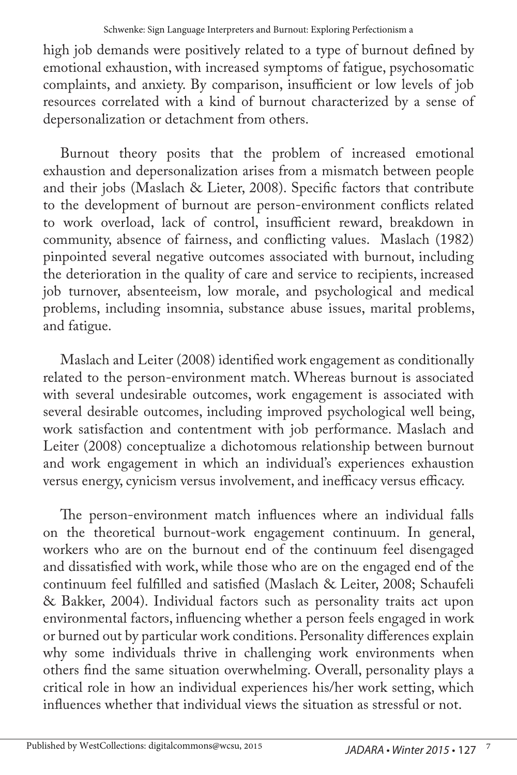high job demands were positively related to a type of burnout defined by emotional exhaustion, with increased symptoms of fatigue, psychosomatic complaints, and anxiety. By comparison, insufficient or low levels of job resources correlated with a kind of burnout characterized by a sense of depersonalization or detachment from others.

Burnout theory posits that the problem of increased emotional exhaustion and depersonalization arises from a mismatch between people and their jobs (Maslach & Lieter, 2008). Specific factors that contribute to the development of burnout are person-environment conflicts related to work overload, lack of control, insufficient reward, breakdown in community, absence of fairness, and conflicting values. Maslach (1982) pinpointed several negative outcomes associated with burnout, including the deterioration in the quality of care and service to recipients, increased job turnover, absenteeism, low morale, and psychological and medical problems, including insomnia, substance abuse issues, marital problems, and fatigue.

Maslach and Leiter (2008) identified work engagement as conditionally related to the person-environment match. Whereas burnout is associated with several undesirable outcomes, work engagement is associated with several desirable outcomes, including improved psychological well being, work satisfaction and contentment with job performance. Maslach and Leiter (2008) conceptualize a dichotomous relationship between burnout and work engagement in which an individual's experiences exhaustion versus energy, cynicism versus involvement, and inefficacy versus efficacy.

The person-environment match influences where an individual falls on the theoretical burnout-work engagement continuum. In general, workers who are on the burnout end of the continuum feel disengaged and dissatisfied with work, while those who are on the engaged end of the continuum feel fulfilled and satisfied (Maslach & Leiter, 2008; Schaufeli & Bakker, 2004). Individual factors such as personality traits act upon environmental factors, influencing whether a person feels engaged in work or burned out by particular work conditions. Personality differences explain why some individuals thrive in challenging work environments when others find the same situation overwhelming. Overall, personality plays a critical role in how an individual experiences his/her work setting, which influences whether that individual views the situation as stressful or not.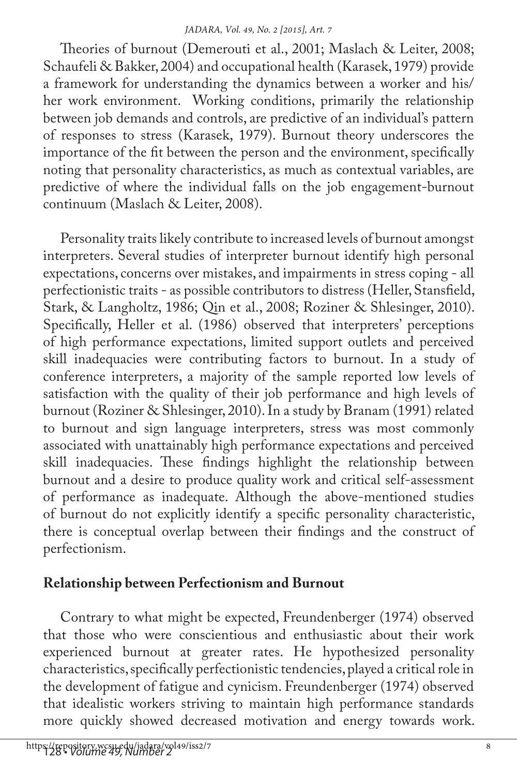Theories of burnout (Demerouti et al., 2001; Maslach & Leiter, 2008; Schaufeli & Bakker, 2004) and occupational health (Karasek, 1979) provide a framework for understanding the dynamics between a worker and his/ her work environment. Working conditions, primarily the relationship between job demands and controls, are predictive of an individual's pattern of responses to stress (Karasek, 1979). Burnout theory underscores the importance of the fit between the person and the environment, specifically noting that personality characteristics, as much as contextual variables, are predictive of where the individual falls on the job engagement-burnout continuum (Maslach & Leiter, 2008).

Personality traits likely contribute to increased levels of burnout amongst interpreters. Several studies of interpreter burnout identify high personal expectations, concerns over mistakes, and impairments in stress coping - all perfectionistic traits - as possible contributors to distress (Heller, Stansfield, Stark, & Langholtz, 1986; Qin et al., 2008; Roziner & Shlesinger, 2010). Specifically, Heller et al. (1986) observed that interpreters' perceptions of high performance expectations, limited support outlets and perceived skill inadequacies were contributing factors to burnout. In a study of conference interpreters, a majority of the sample reported low levels of satisfaction with the quality of their job performance and high levels of burnout (Roziner & Shlesinger, 2010). In a study by Branam (1991) related to burnout and sign language interpreters, stress was most commonly associated with unattainably high performance expectations and perceived skill inadequacies. These findings highlight the relationship between burnout and a desire to produce quality work and critical self-assessment of performance as inadequate. Although the above-mentioned studies of burnout do not explicitly identify a specific personality characteristic, there is conceptual overlap between their findings and the construct of perfectionism.

### **Relationship between Perfectionism and Burnout**

Contrary to what might be expected, Freundenberger (1974) observed that those who were conscientious and enthusiastic about their work experienced burnout at greater rates. He hypothesized personality characteristics, specifically perfectionistic tendencies, played a critical role in the development of fatigue and cynicism. Freundenberger (1974) observed that idealistic workers striving to maintain high performance standards more quickly showed decreased motivation and energy towards work.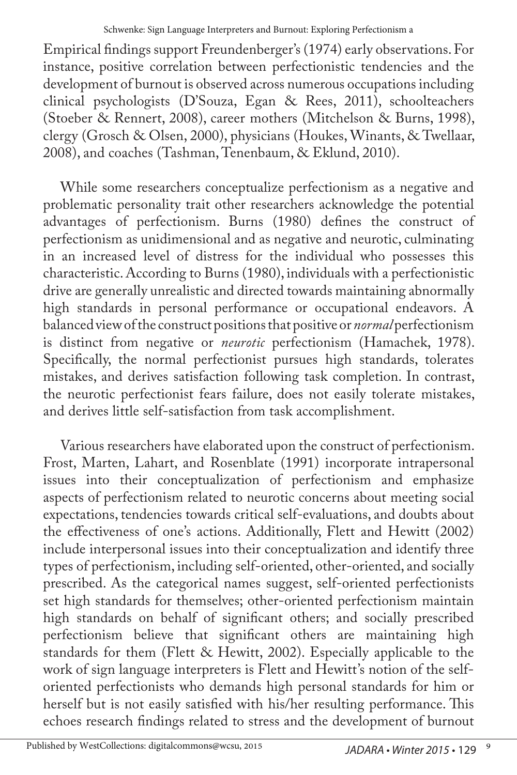Empirical findings support Freundenberger's (1974) early observations. For instance, positive correlation between perfectionistic tendencies and the development of burnout is observed across numerous occupations including clinical psychologists (D'Souza, Egan & Rees, 2011), schoolteachers (Stoeber & Rennert, 2008), career mothers (Mitchelson & Burns, 1998), clergy (Grosch & Olsen, 2000), physicians (Houkes, Winants, & Twellaar, 2008), and coaches (Tashman, Tenenbaum, & Eklund, 2010).

While some researchers conceptualize perfectionism as a negative and problematic personality trait other researchers acknowledge the potential advantages of perfectionism. Burns (1980) defines the construct of perfectionism as unidimensional and as negative and neurotic, culminating in an increased level of distress for the individual who possesses this characteristic. According to Burns (1980), individuals with a perfectionistic drive are generally unrealistic and directed towards maintaining abnormally high standards in personal performance or occupational endeavors. A balanced view of the construct positions that positive or *normal* perfectionism is distinct from negative or *neurotic* perfectionism (Hamachek, 1978). Specifically, the normal perfectionist pursues high standards, tolerates mistakes, and derives satisfaction following task completion. In contrast, the neurotic perfectionist fears failure, does not easily tolerate mistakes, and derives little self-satisfaction from task accomplishment.

Various researchers have elaborated upon the construct of perfectionism. Frost, Marten, Lahart, and Rosenblate (1991) incorporate intrapersonal issues into their conceptualization of perfectionism and emphasize aspects of perfectionism related to neurotic concerns about meeting social expectations, tendencies towards critical self-evaluations, and doubts about the effectiveness of one's actions. Additionally, Flett and Hewitt (2002) include interpersonal issues into their conceptualization and identify three types of perfectionism, including self-oriented, other-oriented, and socially prescribed. As the categorical names suggest, self-oriented perfectionists set high standards for themselves; other-oriented perfectionism maintain high standards on behalf of significant others; and socially prescribed perfectionism believe that significant others are maintaining high standards for them (Flett & Hewitt, 2002). Especially applicable to the work of sign language interpreters is Flett and Hewitt's notion of the selforiented perfectionists who demands high personal standards for him or herself but is not easily satisfied with his/her resulting performance. This echoes research findings related to stress and the development of burnout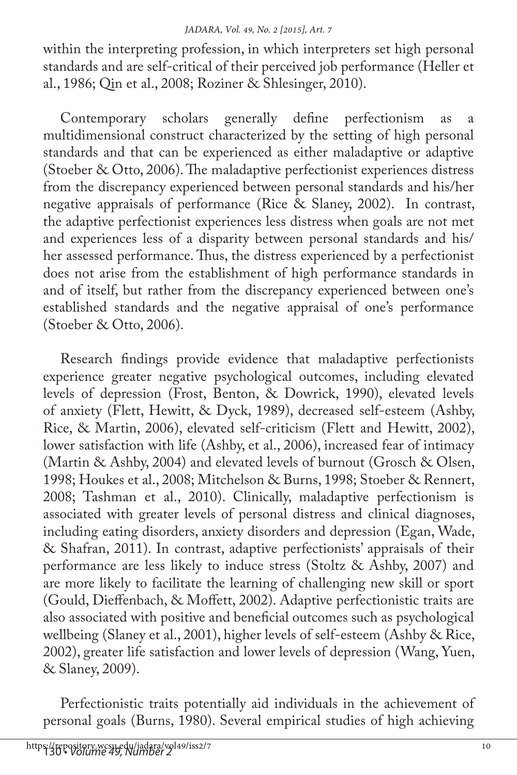within the interpreting profession, in which interpreters set high personal standards and are self-critical of their perceived job performance (Heller et al., 1986; Qin et al., 2008; Roziner & Shlesinger, 2010).

Contemporary scholars generally define perfectionism as a multidimensional construct characterized by the setting of high personal standards and that can be experienced as either maladaptive or adaptive (Stoeber & Otto, 2006). The maladaptive perfectionist experiences distress from the discrepancy experienced between personal standards and his/her negative appraisals of performance (Rice & Slaney, 2002). In contrast, the adaptive perfectionist experiences less distress when goals are not met and experiences less of a disparity between personal standards and his/ her assessed performance. Thus, the distress experienced by a perfectionist does not arise from the establishment of high performance standards in and of itself, but rather from the discrepancy experienced between one's established standards and the negative appraisal of one's performance (Stoeber & Otto, 2006).

Research findings provide evidence that maladaptive perfectionists experience greater negative psychological outcomes, including elevated levels of depression (Frost, Benton, & Dowrick, 1990), elevated levels of anxiety (Flett, Hewitt, & Dyck, 1989), decreased self-esteem (Ashby, Rice, & Martin, 2006), elevated self-criticism (Flett and Hewitt, 2002), lower satisfaction with life (Ashby, et al., 2006), increased fear of intimacy (Martin & Ashby, 2004) and elevated levels of burnout (Grosch & Olsen, 1998; Houkes et al., 2008; Mitchelson & Burns, 1998; Stoeber & Rennert, 2008; Tashman et al., 2010). Clinically, maladaptive perfectionism is associated with greater levels of personal distress and clinical diagnoses, including eating disorders, anxiety disorders and depression (Egan, Wade, & Shafran, 2011). In contrast, adaptive perfectionists' appraisals of their performance are less likely to induce stress (Stoltz & Ashby, 2007) and are more likely to facilitate the learning of challenging new skill or sport (Gould, Dieffenbach, & Moffett, 2002). Adaptive perfectionistic traits are also associated with positive and beneficial outcomes such as psychological wellbeing (Slaney et al., 2001), higher levels of self-esteem (Ashby & Rice, 2002), greater life satisfaction and lower levels of depression (Wang, Yuen, & Slaney, 2009).

Perfectionistic traits potentially aid individuals in the achievement of personal goals (Burns, 1980). Several empirical studies of high achieving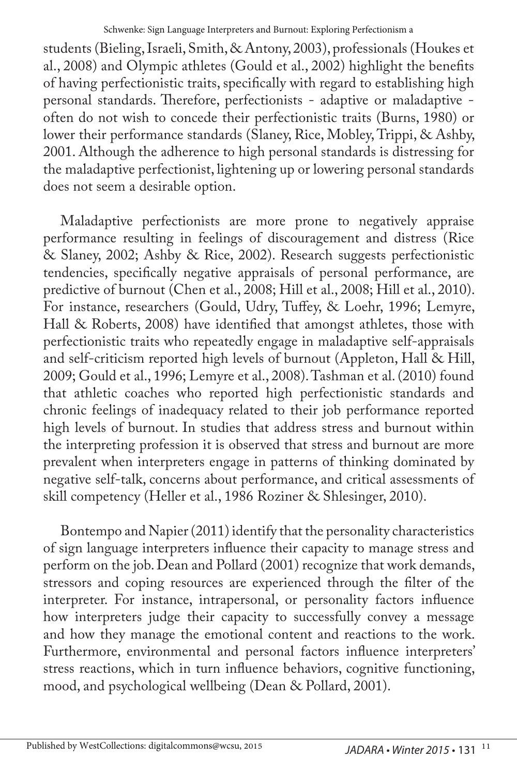students (Bieling, Israeli, Smith, & Antony, 2003), professionals (Houkes et al., 2008) and Olympic athletes (Gould et al., 2002) highlight the benefits of having perfectionistic traits, specifically with regard to establishing high personal standards. Therefore, perfectionists - adaptive or maladaptive often do not wish to concede their perfectionistic traits (Burns, 1980) or lower their performance standards (Slaney, Rice, Mobley, Trippi, & Ashby, 2001. Although the adherence to high personal standards is distressing for the maladaptive perfectionist, lightening up or lowering personal standards does not seem a desirable option.

Maladaptive perfectionists are more prone to negatively appraise performance resulting in feelings of discouragement and distress (Rice & Slaney, 2002; Ashby & Rice, 2002). Research suggests perfectionistic tendencies, specifically negative appraisals of personal performance, are predictive of burnout (Chen et al., 2008; Hill et al., 2008; Hill et al., 2010). For instance, researchers (Gould, Udry, Tuffey, & Loehr, 1996; Lemyre, Hall & Roberts, 2008) have identified that amongst athletes, those with perfectionistic traits who repeatedly engage in maladaptive self-appraisals and self-criticism reported high levels of burnout (Appleton, Hall & Hill, 2009; Gould et al., 1996; Lemyre et al., 2008). Tashman et al. (2010) found that athletic coaches who reported high perfectionistic standards and chronic feelings of inadequacy related to their job performance reported high levels of burnout. In studies that address stress and burnout within the interpreting profession it is observed that stress and burnout are more prevalent when interpreters engage in patterns of thinking dominated by negative self-talk, concerns about performance, and critical assessments of skill competency (Heller et al., 1986 Roziner & Shlesinger, 2010).

Bontempo and Napier (2011) identify that the personality characteristics of sign language interpreters influence their capacity to manage stress and perform on the job. Dean and Pollard (2001) recognize that work demands, stressors and coping resources are experienced through the filter of the interpreter. For instance, intrapersonal, or personality factors influence how interpreters judge their capacity to successfully convey a message and how they manage the emotional content and reactions to the work. Furthermore, environmental and personal factors influence interpreters' stress reactions, which in turn influence behaviors, cognitive functioning, mood, and psychological wellbeing (Dean & Pollard, 2001).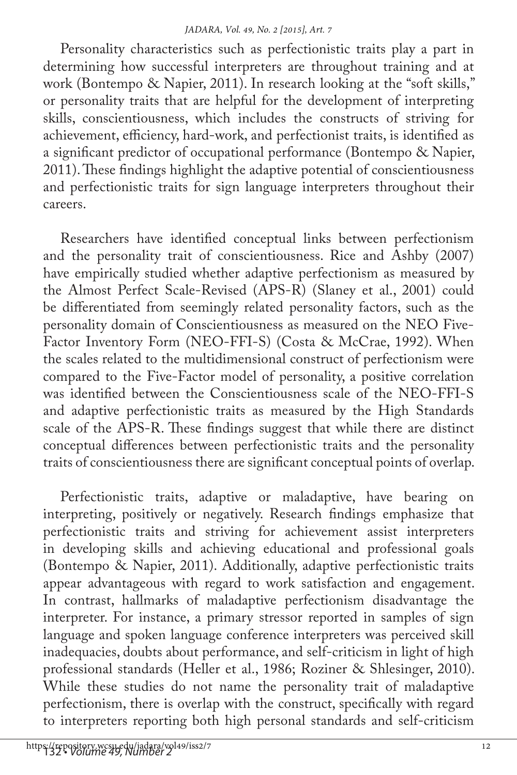Personality characteristics such as perfectionistic traits play a part in determining how successful interpreters are throughout training and at work (Bontempo & Napier, 2011). In research looking at the "soft skills," or personality traits that are helpful for the development of interpreting skills, conscientiousness, which includes the constructs of striving for achievement, efficiency, hard-work, and perfectionist traits, is identified as a significant predictor of occupational performance (Bontempo & Napier, 2011). These findings highlight the adaptive potential of conscientiousness and perfectionistic traits for sign language interpreters throughout their careers.

Researchers have identified conceptual links between perfectionism and the personality trait of conscientiousness. Rice and Ashby (2007) have empirically studied whether adaptive perfectionism as measured by the Almost Perfect Scale-Revised (APS-R) (Slaney et al., 2001) could be differentiated from seemingly related personality factors, such as the personality domain of Conscientiousness as measured on the NEO Five-Factor Inventory Form (NEO-FFI-S) (Costa & McCrae, 1992). When the scales related to the multidimensional construct of perfectionism were compared to the Five-Factor model of personality, a positive correlation was identified between the Conscientiousness scale of the NEO-FFI-S and adaptive perfectionistic traits as measured by the High Standards scale of the APS-R. These findings suggest that while there are distinct conceptual differences between perfectionistic traits and the personality traits of conscientiousness there are significant conceptual points of overlap.

Perfectionistic traits, adaptive or maladaptive, have bearing on interpreting, positively or negatively. Research findings emphasize that perfectionistic traits and striving for achievement assist interpreters in developing skills and achieving educational and professional goals (Bontempo & Napier, 2011). Additionally, adaptive perfectionistic traits appear advantageous with regard to work satisfaction and engagement. In contrast, hallmarks of maladaptive perfectionism disadvantage the interpreter. For instance, a primary stressor reported in samples of sign language and spoken language conference interpreters was perceived skill inadequacies, doubts about performance, and self-criticism in light of high professional standards (Heller et al., 1986; Roziner & Shlesinger, 2010). While these studies do not name the personality trait of maladaptive perfectionism, there is overlap with the construct, specifically with regard to interpreters reporting both high personal standards and self-criticism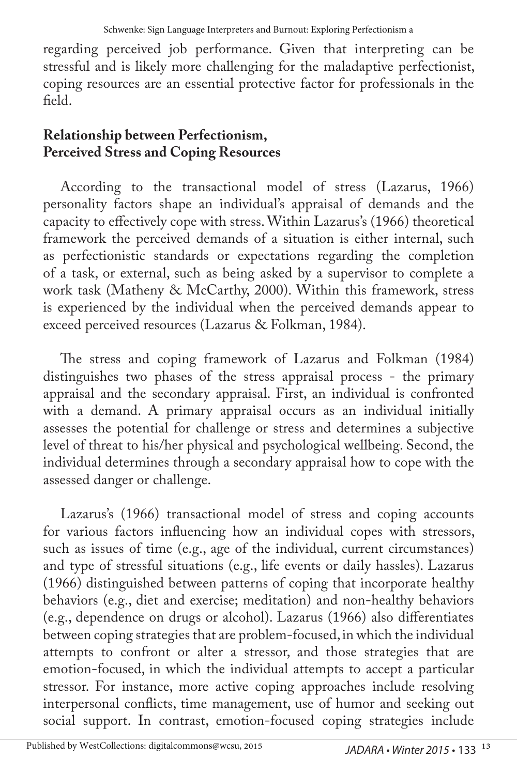regarding perceived job performance. Given that interpreting can be stressful and is likely more challenging for the maladaptive perfectionist, coping resources are an essential protective factor for professionals in the field.

## **Relationship between Perfectionism, Perceived Stress and Coping Resources**

According to the transactional model of stress (Lazarus, 1966) personality factors shape an individual's appraisal of demands and the capacity to effectively cope with stress. Within Lazarus's (1966) theoretical framework the perceived demands of a situation is either internal, such as perfectionistic standards or expectations regarding the completion of a task, or external, such as being asked by a supervisor to complete a work task (Matheny & McCarthy, 2000). Within this framework, stress is experienced by the individual when the perceived demands appear to exceed perceived resources (Lazarus & Folkman, 1984).

The stress and coping framework of Lazarus and Folkman (1984) distinguishes two phases of the stress appraisal process - the primary appraisal and the secondary appraisal. First, an individual is confronted with a demand. A primary appraisal occurs as an individual initially assesses the potential for challenge or stress and determines a subjective level of threat to his/her physical and psychological wellbeing. Second, the individual determines through a secondary appraisal how to cope with the assessed danger or challenge.

Lazarus's (1966) transactional model of stress and coping accounts for various factors influencing how an individual copes with stressors, such as issues of time (e.g., age of the individual, current circumstances) and type of stressful situations (e.g., life events or daily hassles). Lazarus (1966) distinguished between patterns of coping that incorporate healthy behaviors (e.g., diet and exercise; meditation) and non-healthy behaviors (e.g., dependence on drugs or alcohol). Lazarus (1966) also differentiates between coping strategies that are problem-focused, in which the individual attempts to confront or alter a stressor, and those strategies that are emotion-focused, in which the individual attempts to accept a particular stressor. For instance, more active coping approaches include resolving interpersonal conflicts, time management, use of humor and seeking out social support. In contrast, emotion-focused coping strategies include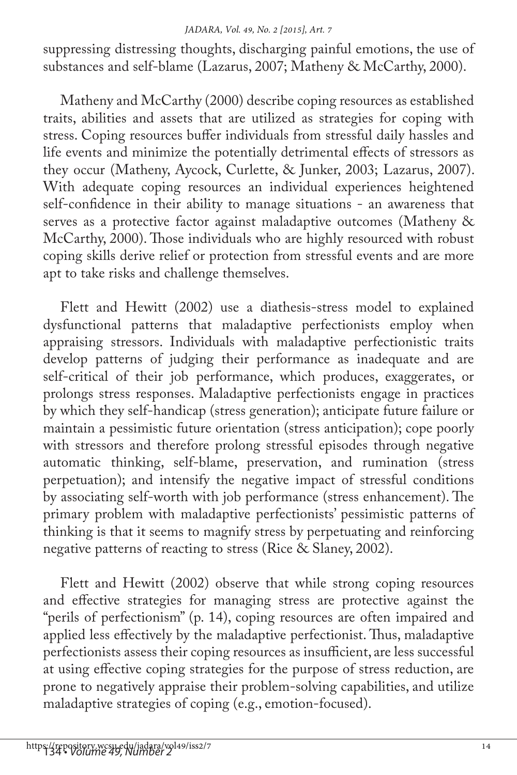suppressing distressing thoughts, discharging painful emotions, the use of substances and self-blame (Lazarus, 2007; Matheny & McCarthy, 2000).

Matheny and McCarthy (2000) describe coping resources as established traits, abilities and assets that are utilized as strategies for coping with stress. Coping resources buffer individuals from stressful daily hassles and life events and minimize the potentially detrimental effects of stressors as they occur (Matheny, Aycock, Curlette, & Junker, 2003; Lazarus, 2007). With adequate coping resources an individual experiences heightened self-confidence in their ability to manage situations - an awareness that serves as a protective factor against maladaptive outcomes (Matheny & McCarthy, 2000). Those individuals who are highly resourced with robust coping skills derive relief or protection from stressful events and are more apt to take risks and challenge themselves.

Flett and Hewitt (2002) use a diathesis-stress model to explained dysfunctional patterns that maladaptive perfectionists employ when appraising stressors. Individuals with maladaptive perfectionistic traits develop patterns of judging their performance as inadequate and are self-critical of their job performance, which produces, exaggerates, or prolongs stress responses. Maladaptive perfectionists engage in practices by which they self-handicap (stress generation); anticipate future failure or maintain a pessimistic future orientation (stress anticipation); cope poorly with stressors and therefore prolong stressful episodes through negative automatic thinking, self-blame, preservation, and rumination (stress perpetuation); and intensify the negative impact of stressful conditions by associating self-worth with job performance (stress enhancement). The primary problem with maladaptive perfectionists' pessimistic patterns of thinking is that it seems to magnify stress by perpetuating and reinforcing negative patterns of reacting to stress (Rice & Slaney, 2002).

Flett and Hewitt (2002) observe that while strong coping resources and effective strategies for managing stress are protective against the "perils of perfectionism" (p. 14), coping resources are often impaired and applied less effectively by the maladaptive perfectionist. Thus, maladaptive perfectionists assess their coping resources as insufficient, are less successful at using effective coping strategies for the purpose of stress reduction, are prone to negatively appraise their problem-solving capabilities, and utilize maladaptive strategies of coping (e.g., emotion-focused).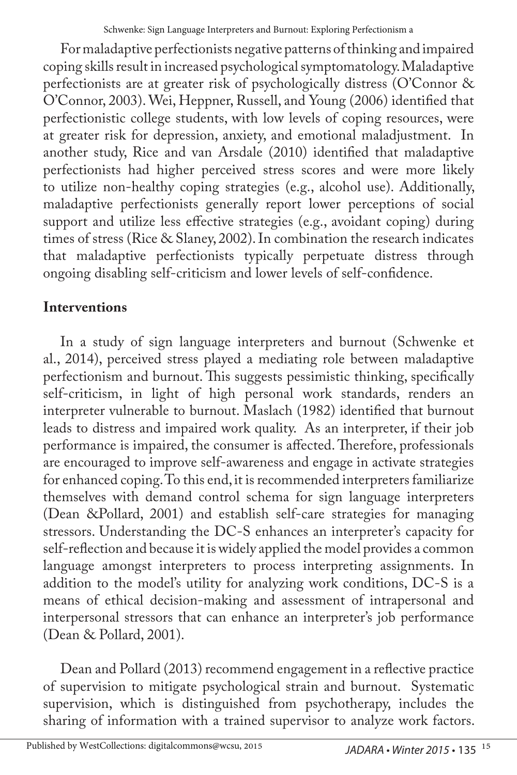For maladaptive perfectionists negative patterns of thinking and impaired coping skills result in increased psychological symptomatology. Maladaptive perfectionists are at greater risk of psychologically distress (O'Connor & O'Connor, 2003). Wei, Heppner, Russell, and Young (2006) identified that perfectionistic college students, with low levels of coping resources, were at greater risk for depression, anxiety, and emotional maladjustment. In another study, Rice and van Arsdale (2010) identified that maladaptive perfectionists had higher perceived stress scores and were more likely to utilize non-healthy coping strategies (e.g., alcohol use). Additionally, maladaptive perfectionists generally report lower perceptions of social support and utilize less effective strategies (e.g., avoidant coping) during times of stress (Rice & Slaney, 2002). In combination the research indicates that maladaptive perfectionists typically perpetuate distress through ongoing disabling self-criticism and lower levels of self-confidence.

# **Interventions**

In a study of sign language interpreters and burnout (Schwenke et al., 2014), perceived stress played a mediating role between maladaptive perfectionism and burnout. This suggests pessimistic thinking, specifically self-criticism, in light of high personal work standards, renders an interpreter vulnerable to burnout. Maslach (1982) identified that burnout leads to distress and impaired work quality. As an interpreter, if their job performance is impaired, the consumer is affected. Therefore, professionals are encouraged to improve self-awareness and engage in activate strategies for enhanced coping. To this end, it is recommended interpreters familiarize themselves with demand control schema for sign language interpreters (Dean &Pollard, 2001) and establish self-care strategies for managing stressors. Understanding the DC-S enhances an interpreter's capacity for self-reflection and because it is widely applied the model provides a common language amongst interpreters to process interpreting assignments. In addition to the model's utility for analyzing work conditions, DC-S is a means of ethical decision-making and assessment of intrapersonal and interpersonal stressors that can enhance an interpreter's job performance (Dean & Pollard, 2001).

Dean and Pollard (2013) recommend engagement in a reflective practice of supervision to mitigate psychological strain and burnout. Systematic supervision, which is distinguished from psychotherapy, includes the sharing of information with a trained supervisor to analyze work factors.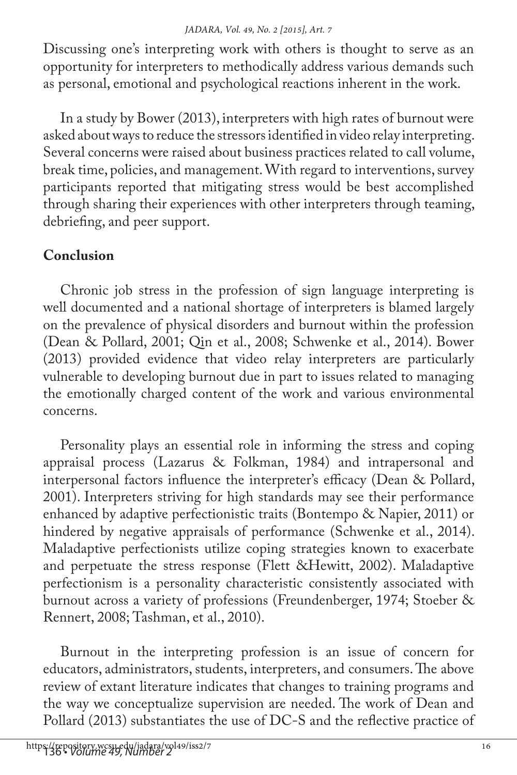Discussing one's interpreting work with others is thought to serve as an opportunity for interpreters to methodically address various demands such as personal, emotional and psychological reactions inherent in the work.

In a study by Bower (2013), interpreters with high rates of burnout were asked about ways to reduce the stressors identified in video relay interpreting. Several concerns were raised about business practices related to call volume, break time, policies, and management. With regard to interventions, survey participants reported that mitigating stress would be best accomplished through sharing their experiences with other interpreters through teaming, debriefing, and peer support.

# **Conclusion**

Chronic job stress in the profession of sign language interpreting is well documented and a national shortage of interpreters is blamed largely on the prevalence of physical disorders and burnout within the profession (Dean & Pollard, 2001; Qin et al., 2008; Schwenke et al., 2014). Bower (2013) provided evidence that video relay interpreters are particularly vulnerable to developing burnout due in part to issues related to managing the emotionally charged content of the work and various environmental concerns.

Personality plays an essential role in informing the stress and coping appraisal process (Lazarus & Folkman, 1984) and intrapersonal and interpersonal factors influence the interpreter's efficacy (Dean & Pollard, 2001). Interpreters striving for high standards may see their performance enhanced by adaptive perfectionistic traits (Bontempo & Napier, 2011) or hindered by negative appraisals of performance (Schwenke et al., 2014). Maladaptive perfectionists utilize coping strategies known to exacerbate and perpetuate the stress response (Flett &Hewitt, 2002). Maladaptive perfectionism is a personality characteristic consistently associated with burnout across a variety of professions (Freundenberger, 1974; Stoeber & Rennert, 2008; Tashman, et al., 2010).

Burnout in the interpreting profession is an issue of concern for educators, administrators, students, interpreters, and consumers. The above review of extant literature indicates that changes to training programs and the way we conceptualize supervision are needed. The work of Dean and Pollard (2013) substantiates the use of DC-S and the reflective practice of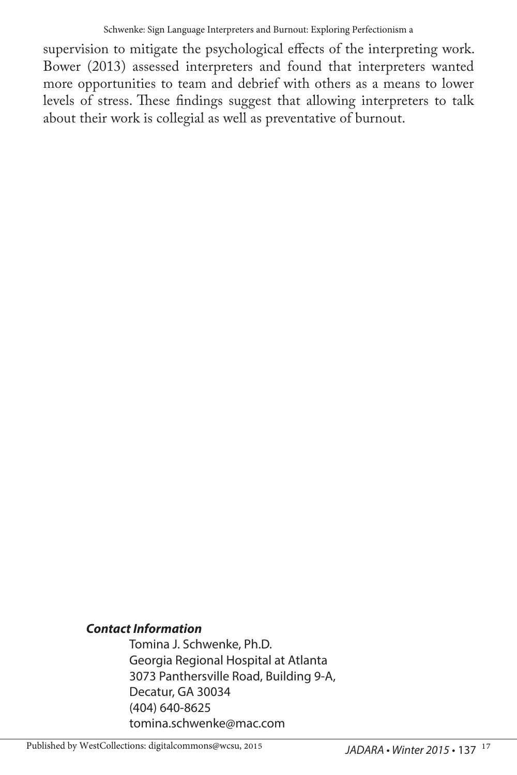supervision to mitigate the psychological effects of the interpreting work. Bower (2013) assessed interpreters and found that interpreters wanted more opportunities to team and debrief with others as a means to lower levels of stress. These findings suggest that allowing interpreters to talk about their work is collegial as well as preventative of burnout.

#### *Contact Information*

Tomina J. Schwenke, Ph.D. Georgia Regional Hospital at Atlanta 3073 Panthersville Road, Building 9-A, Decatur, GA 30034 (404) 640-8625 tomina.schwenke@mac.com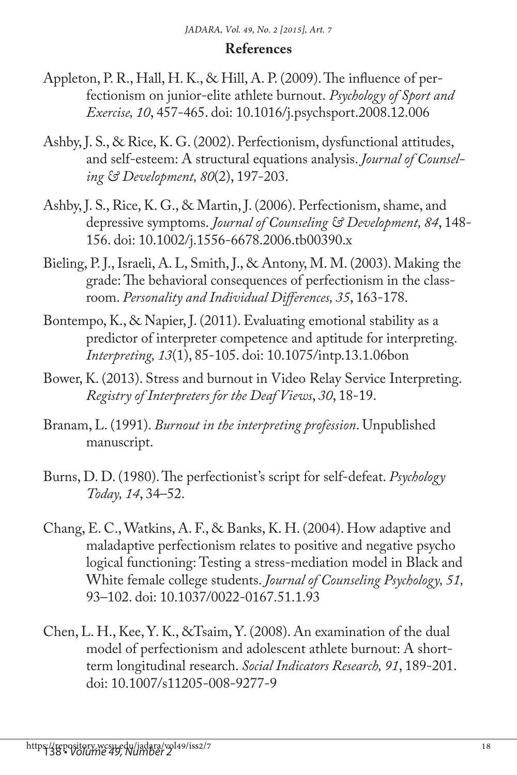### **References**

- Appleton, P. R., Hall, H. K., & Hill, A. P. (2009). The influence of perfectionism on junior-elite athlete burnout. *Psychology of Sport and Exercise, 10*, 457-465. doi: 10.1016/j.psychsport.2008.12.006
- Ashby, J. S., & Rice, K. G. (2002). Perfectionism, dysfunctional attitudes, and self-esteem: A structural equations analysis. *Journal of Counseling & Development, 80*(2), 197-203.
- Ashby, J. S., Rice, K. G., & Martin, J. (2006). Perfectionism, shame, and depressive symptoms. *Journal of Counseling & Development, 84*, 148- 156. doi: 10.1002/j.1556-6678.2006.tb00390.x
- Bieling, P. J., Israeli, A. L, Smith, J., & Antony, M. M. (2003). Making the grade: The behavioral consequences of perfectionism in the classroom. *Personality and Individual Differences, 35*, 163-178.
- Bontempo, K., & Napier, J. (2011). Evaluating emotional stability as a predictor of interpreter competence and aptitude for interpreting. *Interpreting, 13*(1), 85-105. doi: 10.1075/intp.13.1.06bon
- Bower, K. (2013). Stress and burnout in Video Relay Service Interpreting. *Registry of Interpreters for the Deaf Views*, *30*, 18-19.
- Branam, L. (1991). *Burnout in the interpreting profession*. Unpublished manuscript.
- Burns, D. D. (1980). The perfectionist's script for self-defeat. *Psychology Today, 14*, 34–52.
- Chang, E. C., Watkins, A. F., & Banks, K. H. (2004). How adaptive and maladaptive perfectionism relates to positive and negative psycho logical functioning: Testing a stress-mediation model in Black and White female college students. *Journal of Counseling Psychology, 51,*  93–102. doi: 10.1037/0022-0167.51.1.93
- Chen, L. H., Kee, Y. K., &Tsaim, Y. (2008). An examination of the dual model of perfectionism and adolescent athlete burnout: A shortterm longitudinal research. *Social Indicators Research, 91*, 189-201. doi: 10.1007/s11205-008-9277-9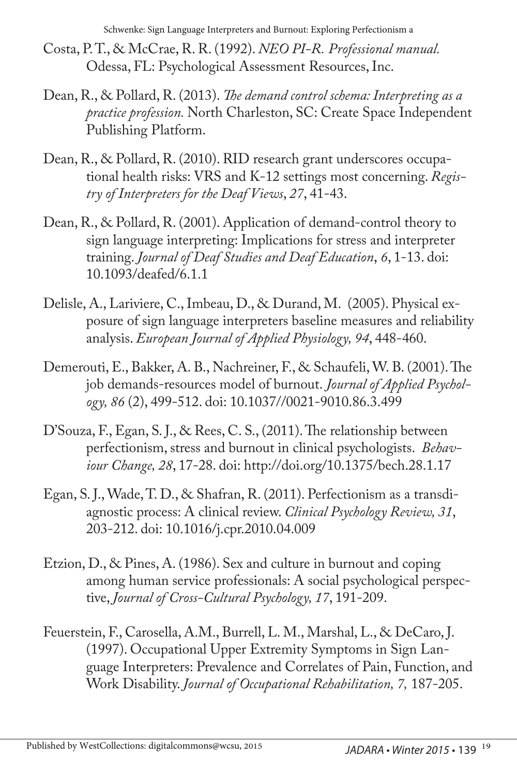Schwenke: Sign Language Interpreters and Burnout: Exploring Perfectionism a

- Costa, P. T., & McCrae, R. R. (1992). *NEO PI-R. Professional manual.* Odessa, FL: Psychological Assessment Resources, Inc.
- Dean, R., & Pollard, R. (2013). *The demand control schema: Interpreting as a practice profession.* North Charleston, SC: Create Space Independent Publishing Platform.
- Dean, R., & Pollard, R. (2010). RID research grant underscores occupational health risks: VRS and K-12 settings most concerning. *Registry of Interpreters for the Deaf Views*, *27*, 41-43.
- Dean, R., & Pollard, R. (2001). Application of demand-control theory to sign language interpreting: Implications for stress and interpreter training. *Journal of Deaf Studies and Deaf Education*, *6*, 1-13. doi: 10.1093/deafed/6.1.1
- Delisle, A., Lariviere, C., Imbeau, D., & Durand, M. (2005). Physical exposure of sign language interpreters baseline measures and reliability analysis. *European Journal of Applied Physiology, 94*, 448-460.
- Demerouti, E., Bakker, A. B., Nachreiner, F., & Schaufeli, W. B. (2001). The job demands-resources model of burnout. *Journal of Applied Psychology, 86* (2), 499-512. doi: 10.1037//0021-9010.86.3.499
- D'Souza, F., Egan, S. J., & Rees, C. S., (2011). The relationship between perfectionism, stress and burnout in clinical psychologists. *Behaviour Change, 28*, 17-28. doi: http://doi.org/10.1375/bech.28.1.17
- Egan, S. J., Wade, T. D., & Shafran, R. (2011). Perfectionism as a transdiagnostic process: A clinical review. *Clinical Psychology Review, 31*, 203-212. doi: 10.1016/j.cpr.2010.04.009
- Etzion, D., & Pines, A. (1986). Sex and culture in burnout and coping among human service professionals: A social psychological perspective, *Journal of Cross-Cultural Psychology, 17*, 191-209.
- Feuerstein, F., Carosella, A.M., Burrell, L. M., Marshal, L., & DeCaro, J. (1997). Occupational Upper Extremity Symptoms in Sign Language Interpreters: Prevalence and Correlates of Pain, Function, and Work Disability. *Journal of Occupational Rehabilitation, 7,* 187-205.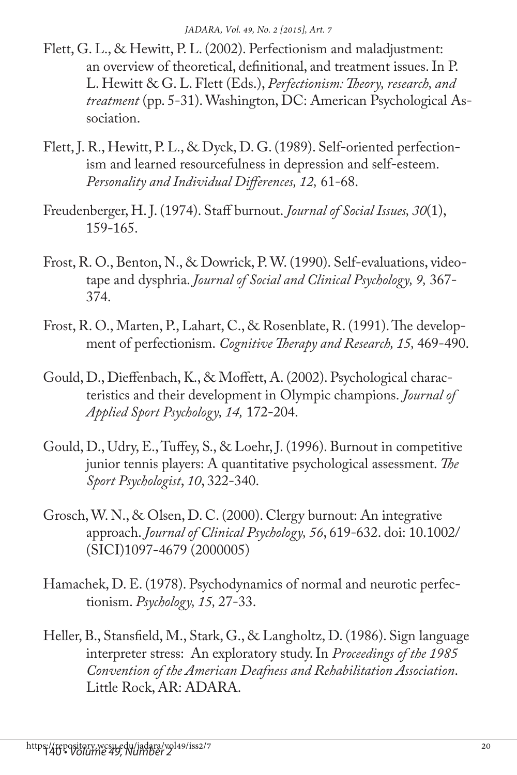- Flett, G. L., & Hewitt, P. L. (2002). Perfectionism and maladjustment: an overview of theoretical, definitional, and treatment issues. In P. L. Hewitt & G. L. Flett (Eds.), *Perfectionism: Theory, research, and treatment* (pp. 5-31). Washington, DC: American Psychological Association.
- Flett, J. R., Hewitt, P. L., & Dyck, D. G. (1989). Self-oriented perfectionism and learned resourcefulness in depression and self-esteem. *Personality and Individual Differences, 12,* 61-68.
- Freudenberger, H. J. (1974). Staff burnout. *Journal of Social Issues, 30*(1), 159-165.
- Frost, R. O., Benton, N., & Dowrick, P. W. (1990). Self-evaluations, videotape and dysphria. *Journal of Social and Clinical Psychology, 9,* 367- 374.
- Frost, R. O., Marten, P., Lahart, C., & Rosenblate, R. (1991). The development of perfectionism. *Cognitive Therapy and Research, 15,* 469-490.
- Gould, D., Dieffenbach, K., & Moffett, A. (2002). Psychological characteristics and their development in Olympic champions. *Journal of Applied Sport Psychology, 14,* 172-204.
- Gould, D., Udry, E., Tuffey, S., & Loehr, J. (1996). Burnout in competitive junior tennis players: A quantitative psychological assessment. *The Sport Psychologist*, *10*, 322-340.
- Grosch, W. N., & Olsen, D. C. (2000). Clergy burnout: An integrative approach. *Journal of Clinical Psychology, 56*, 619-632. doi: 10.1002/ (SICI)1097-4679 (2000005)
- Hamachek, D. E. (1978). Psychodynamics of normal and neurotic perfectionism. *Psychology, 15,* 27-33.
- Heller, B., Stansfield, M., Stark, G., & Langholtz, D. (1986). Sign language interpreter stress: An exploratory study. In *Proceedings of the 1985 Convention of the American Deafness and Rehabilitation Association*. Little Rock, AR: ADARA.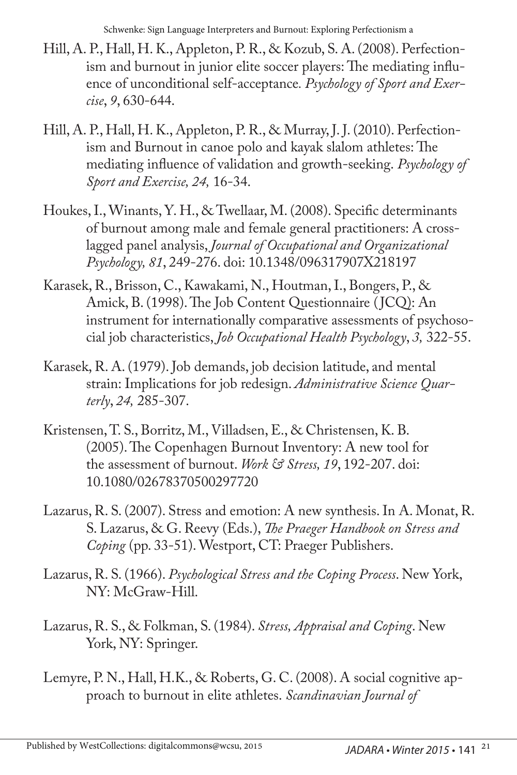Schwenke: Sign Language Interpreters and Burnout: Exploring Perfectionism a

- Hill, A. P., Hall, H. K., Appleton, P. R., & Kozub, S. A. (2008). Perfectionism and burnout in junior elite soccer players: The mediating influence of unconditional self-acceptance*. Psychology of Sport and Exercise*, *9*, 630-644.
- Hill, A. P., Hall, H. K., Appleton, P. R., & Murray, J. J. (2010). Perfectionism and Burnout in canoe polo and kayak slalom athletes: The mediating influence of validation and growth-seeking. *Psychology of Sport and Exercise, 24,* 16-34.
- Houkes, I., Winants, Y. H., & Twellaar, M. (2008). Specific determinants of burnout among male and female general practitioners: A crosslagged panel analysis, *Journal of Occupational and Organizational Psychology, 81*, 249-276. doi: 10.1348/096317907X218197
- Karasek, R., Brisson, C., Kawakami, N., Houtman, I., Bongers, P., & Amick, B. (1998). The Job Content Questionnaire (JCQ): An instrument for internationally comparative assessments of psychosocial job characteristics, *Job Occupational Health Psychology*, *3,* 322-55.
- Karasek, R. A. (1979). Job demands, job decision latitude, and mental strain: Implications for job redesign. *Administrative Science Quarterly*, *24,* 285-307.
- Kristensen, T. S., Borritz, M., Villadsen, E., & Christensen, K. B. (2005). The Copenhagen Burnout Inventory: A new tool for the assessment of burnout. *Work & Stress, 19*, 192-207. doi: 10.1080/02678370500297720
- Lazarus, R. S. (2007). Stress and emotion: A new synthesis. In A. Monat, R. S. Lazarus, & G. Reevy (Eds.), *The Praeger Handbook on Stress and Coping* (pp. 33-51). Westport, CT: Praeger Publishers.
- Lazarus, R. S. (1966). *Psychological Stress and the Coping Process*. New York, NY: McGraw-Hill.
- Lazarus, R. S., & Folkman, S. (1984). *Stress, Appraisal and Coping*. New York, NY: Springer.
- Lemyre, P. N., Hall, H.K., & Roberts, G. C. (2008). A social cognitive approach to burnout in elite athletes. *Scandinavian Journal of*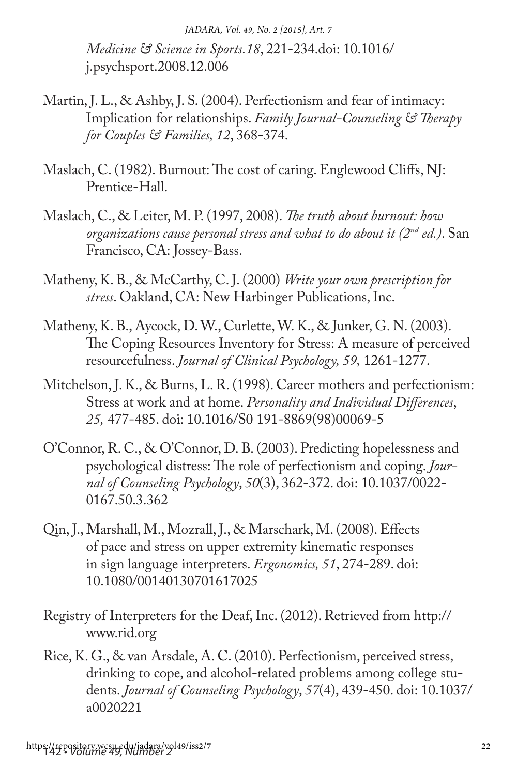*Medicine & Science in Sports.18*, 221-234.doi: 10.1016/ j.psychsport.2008.12.006

- Martin, J. L., & Ashby, J. S. (2004). Perfectionism and fear of intimacy: Implication for relationships. *Family Journal-Counseling & Therapy for Couples & Families, 12*, 368-374.
- Maslach, C. (1982). Burnout: The cost of caring. Englewood Cliffs, NJ: Prentice-Hall.
- Maslach, C., & Leiter, M. P. (1997, 2008). *The truth about burnout: how organizations cause personal stress and what to do about it (2nd ed.)*. San Francisco, CA: Jossey-Bass.
- Matheny, K. B., & McCarthy, C. J. (2000) *Write your own prescription for stress*. Oakland, CA: New Harbinger Publications, Inc.
- Matheny, K. B., Aycock, D. W., Curlette, W. K., & Junker, G. N. (2003). The Coping Resources Inventory for Stress: A measure of perceived resourcefulness. *Journal of Clinical Psychology, 59,* 1261-1277.
- Mitchelson, J. K., & Burns, L. R. (1998). Career mothers and perfectionism: Stress at work and at home. *Personality and Individual Differences*, *25,* 477-485. doi: 10.1016/S0 191-8869(98)00069-5
- O'Connor, R. C., & O'Connor, D. B. (2003). Predicting hopelessness and psychological distress: The role of perfectionism and coping. *Journal of Counseling Psychology*, *50*(3), 362-372. doi: 10.1037/0022- 0167.50.3.362
- Qin, J., Marshall, M., Mozrall, J., & Marschark, M. (2008). Effects of pace and stress on upper extremity kinematic responses in sign language interpreters. *Ergonomics, 51*, 274-289. doi: 10.1080/00140130701617025
- Registry of Interpreters for the Deaf, Inc. (2012). Retrieved from http:// www.rid.org
- Rice, K. G., & van Arsdale, A. C. (2010). Perfectionism, perceived stress, drinking to cope, and alcohol-related problems among college students. *Journal of Counseling Psychology*, *57*(4), 439-450. doi: 10.1037/ a0020221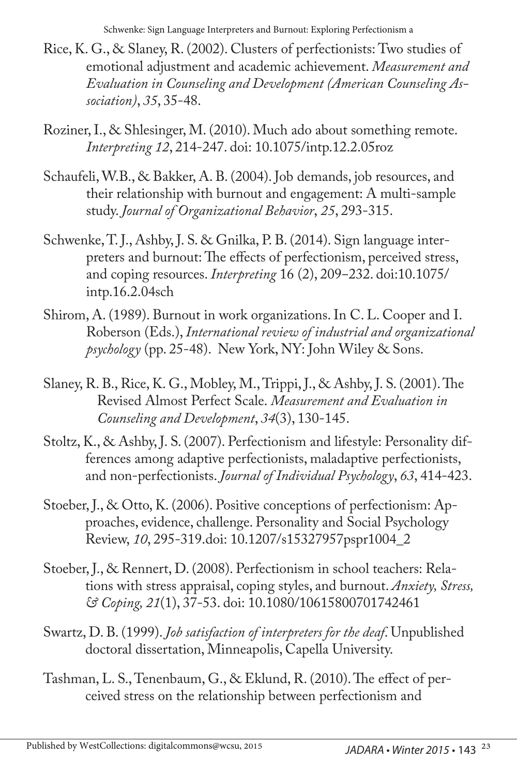Schwenke: Sign Language Interpreters and Burnout: Exploring Perfectionism a

- Rice, K. G., & Slaney, R. (2002). Clusters of perfectionists: Two studies of emotional adjustment and academic achievement. *Measurement and Evaluation in Counseling and Development (American Counseling Association)*, *35*, 35-48.
- Roziner, I., & Shlesinger, M. (2010). Much ado about something remote. *Interpreting 12*, 214-247. doi: 10.1075/intp.12.2.05roz
- Schaufeli, W.B., & Bakker, A. B. (2004). Job demands, job resources, and their relationship with burnout and engagement: A multi-sample study. *Journal of Organizational Behavior*, *25*, 293-315.
- Schwenke, T. J., Ashby, J. S. & Gnilka, P. B. (2014). Sign language interpreters and burnout: The effects of perfectionism, perceived stress, and coping resources. *Interpreting* 16 (2), 209-232. doi:10.1075/ intp.16.2.04sch
- Shirom, A. (1989). Burnout in work organizations. In C. L. Cooper and I. Roberson (Eds.), *International review of industrial and organizational psychology* (pp. 25-48). New York, NY: John Wiley & Sons.
- Slaney, R. B., Rice, K. G., Mobley, M., Trippi, J., & Ashby, J. S. (2001). The Revised Almost Perfect Scale. *Measurement and Evaluation in Counseling and Development*, *34*(3), 130-145.
- Stoltz, K., & Ashby, J. S. (2007). Perfectionism and lifestyle: Personality differences among adaptive perfectionists, maladaptive perfectionists, and non-perfectionists. *Journal of Individual Psychology*, *63*, 414-423.
- Stoeber, J., & Otto, K. (2006). Positive conceptions of perfectionism: Approaches, evidence, challenge. Personality and Social Psychology Review, *10*, 295-319.doi: 10.1207/s15327957pspr1004\_2
- Stoeber, J., & Rennert, D. (2008). Perfectionism in school teachers: Relations with stress appraisal, coping styles, and burnout. *Anxiety, Stress, & Coping, 21*(1), 37-53. doi: 10.1080/10615800701742461
- Swartz, D. B. (1999). *Job satisfaction of interpreters for the deaf*. Unpublished doctoral dissertation, Minneapolis, Capella University.
- Tashman, L. S., Tenenbaum, G., & Eklund, R. (2010). The effect of perceived stress on the relationship between perfectionism and